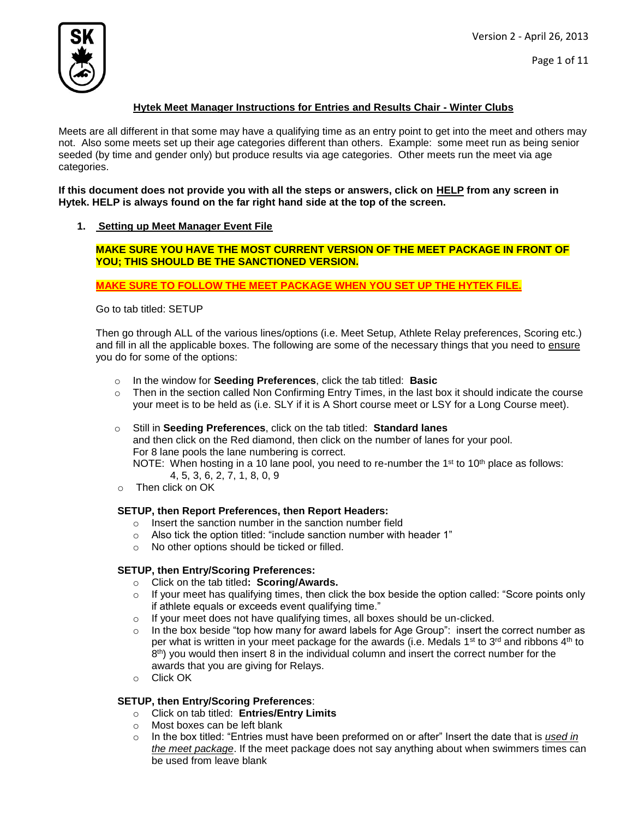Version 2 - April 26, 2013



# **Hytek Meet Manager Instructions for Entries and Results Chair - Winter Clubs**

Meets are all different in that some may have a qualifying time as an entry point to get into the meet and others may not. Also some meets set up their age categories different than others. Example: some meet run as being senior seeded (by time and gender only) but produce results via age categories. Other meets run the meet via age categories.

**If this document does not provide you with all the steps or answers, click on HELP from any screen in Hytek. HELP is always found on the far right hand side at the top of the screen.**

## **1. Setting up Meet Manager Event File**

**MAKE SURE YOU HAVE THE MOST CURRENT VERSION OF THE MEET PACKAGE IN FRONT OF YOU; THIS SHOULD BE THE SANCTIONED VERSION.** 

**MAKE SURE TO FOLLOW THE MEET PACKAGE WHEN YOU SET UP THE HYTEK FILE.**

Go to tab titled: SETUP

Then go through ALL of the various lines/options (i.e. Meet Setup, Athlete Relay preferences, Scoring etc.) and fill in all the applicable boxes. The following are some of the necessary things that you need to ensure you do for some of the options:

- o In the window for **Seeding Preferences**, click the tab titled: **Basic**
- $\circ$  Then in the section called Non Confirming Entry Times, in the last box it should indicate the course your meet is to be held as (i.e. SLY if it is A Short course meet or LSY for a Long Course meet).
- o Still in **Seeding Preferences**, click on the tab titled: **Standard lanes** and then click on the Red diamond, then click on the number of lanes for your pool. For 8 lane pools the lane numbering is correct. NOTE: When hosting in a 10 lane pool, you need to re-number the 1<sup>st</sup> to 10<sup>th</sup> place as follows: 4, 5, 3, 6, 2, 7, 1, 8, 0, 9
- o Then click on OK

## **SETUP, then Report Preferences, then Report Headers:**

- o Insert the sanction number in the sanction number field
- o Also tick the option titled: "include sanction number with header 1"
- o No other options should be ticked or filled.

## **SETUP, then Entry/Scoring Preferences:**

- o Click on the tab titled**: Scoring/Awards.**
- o If your meet has qualifying times, then click the box beside the option called: "Score points only if athlete equals or exceeds event qualifying time."
- $\circ$  If your meet does not have qualifying times, all boxes should be un-clicked.
- $\circ$  In the box beside "top how many for award labels for Age Group": insert the correct number as per what is written in your meet package for the awards (i.e. Medals 1st to 3<sup>rd</sup> and ribbons 4<sup>th</sup> to  $8<sup>th</sup>$ ) you would then insert 8 in the individual column and insert the correct number for the awards that you are giving for Relays.
- o Click OK

## **SETUP, then Entry/Scoring Preferences**:

- o Click on tab titled: **Entries/Entry Limits**
- o Most boxes can be left blank
- o In the box titled: "Entries must have been preformed on or after" Insert the date that is *used in the meet package*. If the meet package does not say anything about when swimmers times can be used from leave blank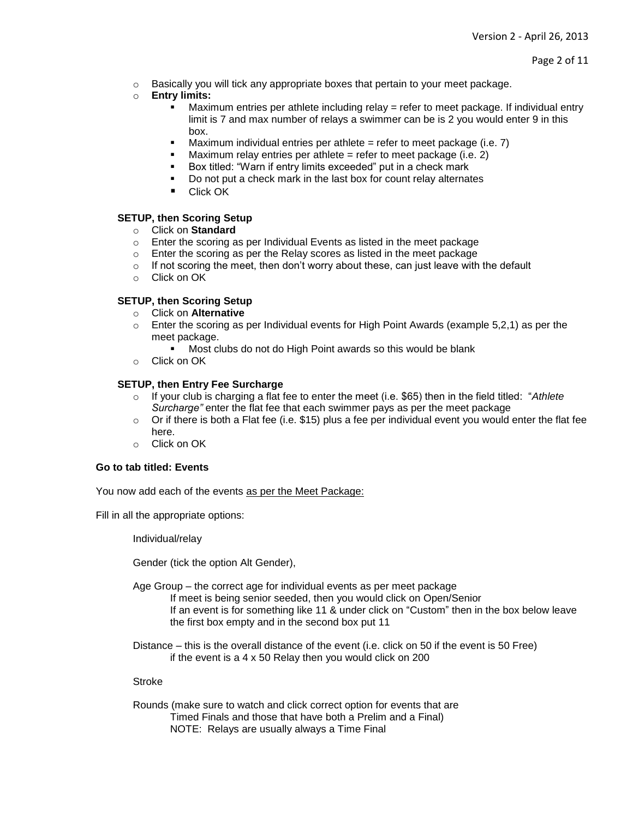$\circ$  Basically you will tick any appropriate boxes that pertain to your meet package.

# o **Entry limits:**

- Maximum entries per athlete including relay = refer to meet package. If individual entry limit is 7 and max number of relays a swimmer can be is 2 you would enter 9 in this box.
- Maximum individual entries per athlete = refer to meet package (i.e.  $7$ )
- **Maximum relay entries per athlete = refer to meet package (i.e. 2)**
- Box titled: "Warn if entry limits exceeded" put in a check mark
- Do not put a check mark in the last box for count relay alternates
- **Click OK**

## **SETUP, then Scoring Setup**

- o Click on **Standard**
- $\circ$  Enter the scoring as per Individual Events as listed in the meet package
- $\circ$  Enter the scoring as per the Relay scores as listed in the meet package
- $\circ$  If not scoring the meet, then don't worry about these, can just leave with the default
- o Click on OK

## **SETUP, then Scoring Setup**

- o Click on **Alternative**
- $\circ$  Enter the scoring as per Individual events for High Point Awards (example 5,2,1) as per the meet package.
	- Most clubs do not do High Point awards so this would be blank
- o Click on OK

## **SETUP, then Entry Fee Surcharge**

- o If your club is charging a flat fee to enter the meet (i.e. \$65) then in the field titled: "*Athlete Surcharge"* enter the flat fee that each swimmer pays as per the meet package
- $\circ$  Or if there is both a Flat fee (i.e. \$15) plus a fee per individual event you would enter the flat fee here.
- o Click on OK

## **Go to tab titled: Events**

You now add each of the events as per the Meet Package:

Fill in all the appropriate options:

Individual/relay

Gender (tick the option Alt Gender),

Age Group – the correct age for individual events as per meet package

If meet is being senior seeded, then you would click on Open/Senior If an event is for something like 11 & under click on "Custom" then in the box below leave the first box empty and in the second box put 11

Distance – this is the overall distance of the event (i.e. click on 50 if the event is 50 Free) if the event is a 4 x 50 Relay then you would click on 200

## Stroke

Rounds (make sure to watch and click correct option for events that are Timed Finals and those that have both a Prelim and a Final) NOTE: Relays are usually always a Time Final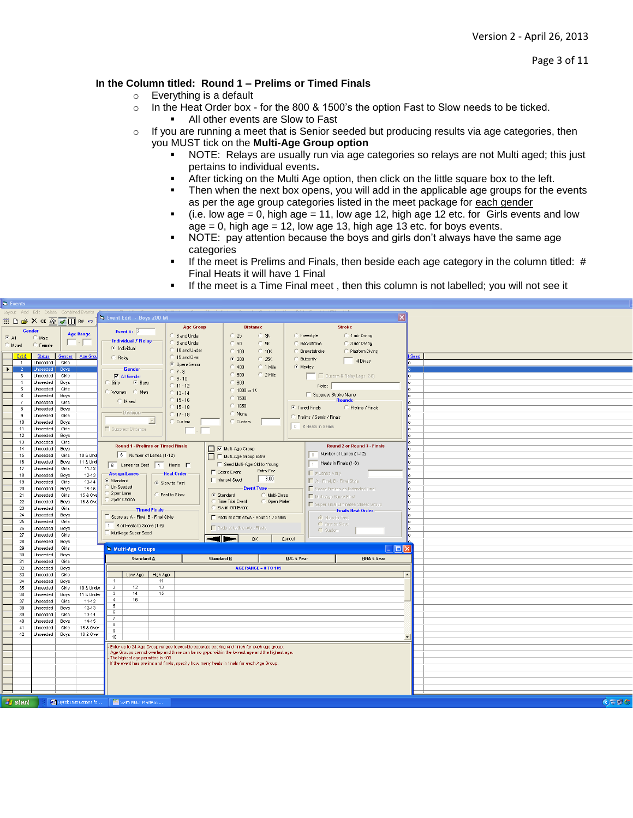Version 2 - April 26, 2013

Page 3 of 11

# **In the Column titled: Round 1 – Prelims or Timed Finals**

- o Everything is a default
- $\circ$  In the Heat Order box for the 800 & 1500's the option Fast to Slow needs to be ticked.
	- All other events are Slow to Fast
- $\circ$  If you are running a meet that is Senior seeded but producing results via age categories, then you MUST tick on the **Multi-Age Group option**
	- NOTE: Relays are usually run via age categories so relays are not Multi aged; this just pertains to individual events**.**
	- After ticking on the Multi Age option, then click on the little square box to the left.
	- **Then when the next box opens, you will add in the applicable age groups for the events** as per the age group categories listed in the meet package for each gender
	- $(i.e.$  low age = 0, high age = 11, low age 12, high age 12 etc. for Girls events and low  $age = 0$ , high age  $= 12$ , low age 13, high age 13 etc. for boys events.
	- NOTE: pay attention because the boys and girls don't always have the same age categories
	- If the meet is Prelims and Finals, then beside each age category in the column titled: # Final Heats it will have 1 Final
	- If the meet is a Time Final meet , then this column is not labelled; you will not see it

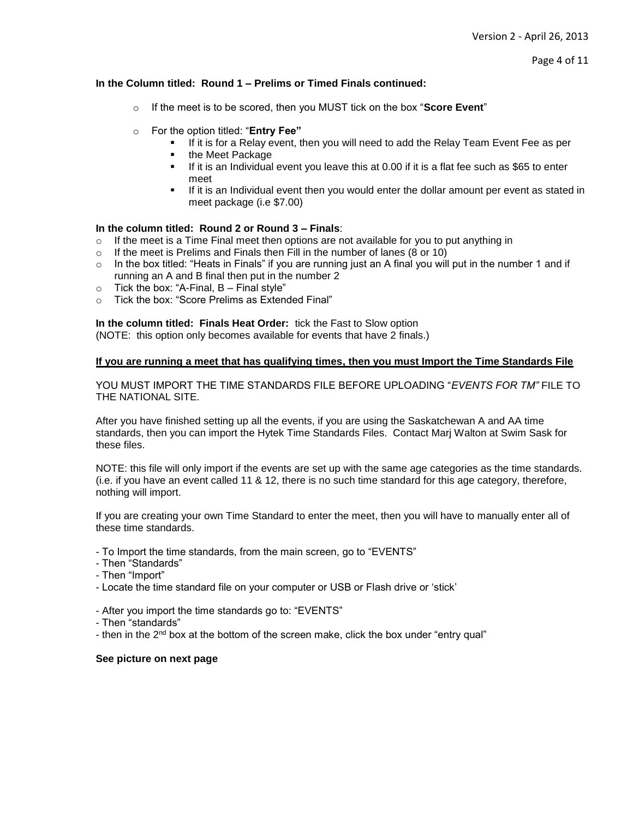# **In the Column titled: Round 1 – Prelims or Timed Finals continued:**

- o If the meet is to be scored, then you MUST tick on the box "**Score Event**"
- o For the option titled: "**Entry Fee"**
	- If it is for a Relay event, then you will need to add the Relay Team Event Fee as per
	- the Meet Package
	- $\blacksquare$  If it is an Individual event you leave this at 0.00 if it is a flat fee such as \$65 to enter meet
	- **If it is an Individual event then you would enter the dollar amount per event as stated in** meet package (i.e \$7.00)

# **In the column titled: Round 2 or Round 3 – Finals**:

- $\circ$  If the meet is a Time Final meet then options are not available for you to put anything in
- o If the meet is Prelims and Finals then Fill in the number of lanes (8 or 10)
- $\circ$  In the box titled: "Heats in Finals" if you are running just an A final you will put in the number 1 and if running an A and B final then put in the number 2
- $\circ$  Tick the box: "A-Final, B Final style"
- o Tick the box: "Score Prelims as Extended Final"

**In the column titled: Finals Heat Order:** tick the Fast to Slow option

(NOTE: this option only becomes available for events that have 2 finals.)

# **If you are running a meet that has qualifying times, then you must Import the Time Standards File**

YOU MUST IMPORT THE TIME STANDARDS FILE BEFORE UPLOADING "*EVENTS FOR TM"* FILE TO THE NATIONAL SITE.

After you have finished setting up all the events, if you are using the Saskatchewan A and AA time standards, then you can import the Hytek Time Standards Files. Contact Marj Walton at Swim Sask for these files.

NOTE: this file will only import if the events are set up with the same age categories as the time standards. (i.e. if you have an event called 11 & 12, there is no such time standard for this age category, therefore, nothing will import.

If you are creating your own Time Standard to enter the meet, then you will have to manually enter all of these time standards.

- To Import the time standards, from the main screen, go to "EVENTS"
- Then "Standards"
- Then "Import"
- Locate the time standard file on your computer or USB or Flash drive or 'stick'
- After you import the time standards go to: "EVENTS"
- Then "standards"
- then in the 2<sup>nd</sup> box at the bottom of the screen make, click the box under "entry qual"

# **See picture on next page**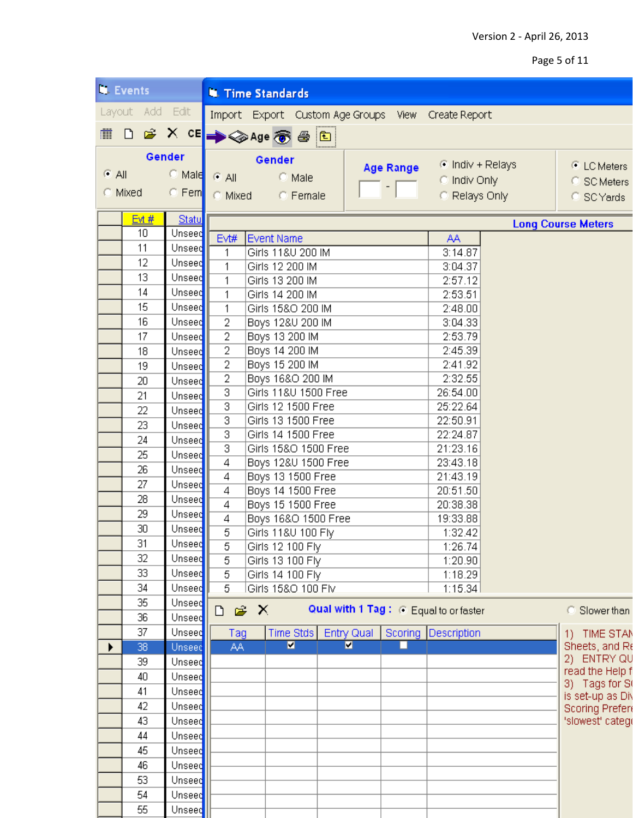Version 2 - April 26, 2013

Page 5 of 11

|                          | <b>N.</b> Events |              | <b>W. Time Standards</b>              |                                                                               |                    |                |                                  |                                                    |  |                               |
|--------------------------|------------------|--------------|---------------------------------------|-------------------------------------------------------------------------------|--------------------|----------------|----------------------------------|----------------------------------------------------|--|-------------------------------|
|                          | Layout Add Edit  |              |                                       |                                                                               |                    |                |                                  | Import Export Custom Age Groups View Create Report |  |                               |
|                          |                  |              |                                       |                                                                               |                    |                |                                  |                                                    |  |                               |
| <b>MOGXCE → ◆Age 参画图</b> |                  |              |                                       |                                                                               |                    |                |                                  |                                                    |  |                               |
|                          |                  | Gender       | Gender                                |                                                                               |                    |                |                                  | ⊙ Indiv + Relays                                   |  | © LC Meters                   |
| $C$ All                  |                  | $\odot$ Male | $\odot$ All<br>C Male                 |                                                                               |                    |                | <b>Age Range</b><br>C Indiv Only |                                                    |  | C SC Meters                   |
|                          | C Mixed          | $\circ$ Fem  | C Mixed<br>C Female                   |                                                                               |                    |                |                                  | C Relays Only                                      |  | C SCYards                     |
|                          |                  |              |                                       |                                                                               |                    |                |                                  |                                                    |  |                               |
| Evt#<br>Statu            |                  |              |                                       |                                                                               |                    |                |                                  |                                                    |  | <b>Long Course Meters</b>     |
|                          | 10               | Unseed       | Evt#<br><b>Event Name</b>             |                                                                               |                    |                |                                  | AA                                                 |  |                               |
|                          | 11               | Unseed       | 1<br>Girls 11&U 200 IM                |                                                                               |                    |                |                                  | 3:14.87                                            |  |                               |
|                          | 12               | Unseed       | 1<br>Girls 12 200 IM                  |                                                                               |                    |                |                                  | 3:04.37                                            |  |                               |
|                          | 13               | Unseed       | 1                                     | Girls 13 200 IM                                                               |                    |                |                                  |                                                    |  |                               |
|                          | 14               | Unseed       | 1                                     | Girls 14 200 IM                                                               |                    |                |                                  |                                                    |  |                               |
|                          | 15               | Unseed       | 1                                     |                                                                               | Girls 15&O 200 IM  |                |                                  | 2:48.00                                            |  |                               |
|                          | 16               | Unseed       | 2                                     |                                                                               | Boys 12&U 200 IM   |                |                                  | 3:04.33<br>2:53.79                                 |  |                               |
|                          | 17               | Unseed       | $\overline{2}$                        | Boys 13 200 IM                                                                |                    |                |                                  |                                                    |  |                               |
|                          | 18               | Unseed       | $\overline{2}$                        | Boys 14 200 IM                                                                |                    |                |                                  | 2:45.39                                            |  |                               |
|                          | 19               | Unseed       | $\overline{2}$                        | Boys 15 200 IM                                                                |                    |                |                                  |                                                    |  |                               |
|                          | 20               | Unseed       | $\overline{2}$                        | Boys 16&O 200 IM                                                              |                    |                |                                  |                                                    |  |                               |
|                          | 21               | Unseed       |                                       | $\overline{\overline{3}}$<br>Girls 11&U 1500 Free                             |                    |                |                                  |                                                    |  |                               |
|                          | 22               | Unseed       |                                       | $\overline{\overline{\overline{3}}}$<br>Girls 12 1500 Free                    |                    |                |                                  |                                                    |  |                               |
|                          | 23               | Unseed       | $\overline{\overline{3}}$             |                                                                               | Girls 13 1500 Free |                |                                  | 22:50.91<br>22:24.87                               |  |                               |
|                          | 24               | Unseed       | $\overline{3}$                        | Girls 14 1500 Free                                                            |                    |                |                                  |                                                    |  |                               |
|                          | 25               | Unseed       |                                       | $\overline{\mathbf{3}}$<br>Girls 15&O 1500 Free                               |                    |                |                                  |                                                    |  |                               |
|                          | 26               | Unseed       | $\overline{4}$<br>Boys 12&U 1500 Free |                                                                               |                    |                |                                  | 23:43.18                                           |  |                               |
|                          | 27               | Unseed       | Boys 13 1500 Free<br>4                |                                                                               |                    |                |                                  | 21:43.19                                           |  |                               |
|                          | 28               | Unseed       | 4<br>Boys 14 1500 Free                |                                                                               |                    |                |                                  | 20:51.50                                           |  |                               |
|                          | 29               |              | $\overline{4}$<br>Boys 15 1500 Free   |                                                                               |                    |                |                                  | 20:38.38<br>19:33.88                               |  |                               |
|                          |                  | Unseed       | 4                                     | Boys 16&O 1500 Free                                                           |                    |                |                                  |                                                    |  |                               |
|                          | 30               | Unseed       |                                       | 5<br>Girls 11&U 100 Fly                                                       |                    |                |                                  |                                                    |  |                               |
|                          | 31               | Unseed       | 5<br>Girls 12 100 Fly                 |                                                                               |                    |                |                                  | 1:26.74                                            |  |                               |
|                          | 32               | Unseed       | $\overline{5}$<br>Girls 13 100 Fly    |                                                                               |                    |                |                                  | 1:20.90                                            |  |                               |
|                          | 33               | Unseed       | $\overline{5}$<br>Girls 14 100 Fly    |                                                                               |                    |                |                                  | 1:18.29                                            |  |                               |
|                          | 34               | Unseed       | $\overline{5}$<br>Girls 15&O 100 Flv  |                                                                               |                    |                |                                  | 1:15.34                                            |  |                               |
|                          | 35               | Unseed       |                                       | $\mathbb{R}^2$ X<br>Qual with 1 Tag: C Equal to or faster<br>Slower than<br>D |                    |                |                                  |                                                    |  |                               |
|                          | 36               | Unseed       |                                       |                                                                               |                    |                |                                  |                                                    |  |                               |
|                          | 37               | Unseed       | Tag                                   |                                                                               | Time Stds          | Entry Qual     |                                  | Scoring Description                                |  | 1) TIME STAN                  |
| ▶                        | 38               | Unseed       | AA                                    |                                                                               | $\blacksquare$     | $\blacksquare$ | п                                |                                                    |  | Sheets, and Re<br>2) ENTRY QU |
|                          | 39               | Unseed       |                                       |                                                                               |                    |                |                                  |                                                    |  | read the Help f               |
|                          | 40               | Unseed       |                                       |                                                                               |                    |                |                                  |                                                    |  | 3) Tags for St                |
|                          | 41               | Unseed       |                                       |                                                                               |                    |                |                                  |                                                    |  | is set-up as Div              |
|                          | 42               | Unseed       |                                       |                                                                               |                    |                |                                  |                                                    |  | Scoring Preferi               |
|                          | 43               | Unseed       |                                       |                                                                               |                    |                |                                  |                                                    |  | 'slowest' categr              |
|                          | 44               | Unseed       |                                       |                                                                               |                    |                |                                  |                                                    |  |                               |
|                          | 45               | Unseed       |                                       |                                                                               |                    |                |                                  |                                                    |  |                               |
|                          | 46               | Unseed       |                                       |                                                                               |                    |                |                                  |                                                    |  |                               |
|                          | 53               | Unseed       |                                       |                                                                               |                    |                |                                  |                                                    |  |                               |
|                          | 54               | Unseed       |                                       |                                                                               |                    |                |                                  |                                                    |  |                               |
|                          | 55               | Unseed       |                                       |                                                                               |                    |                |                                  |                                                    |  |                               |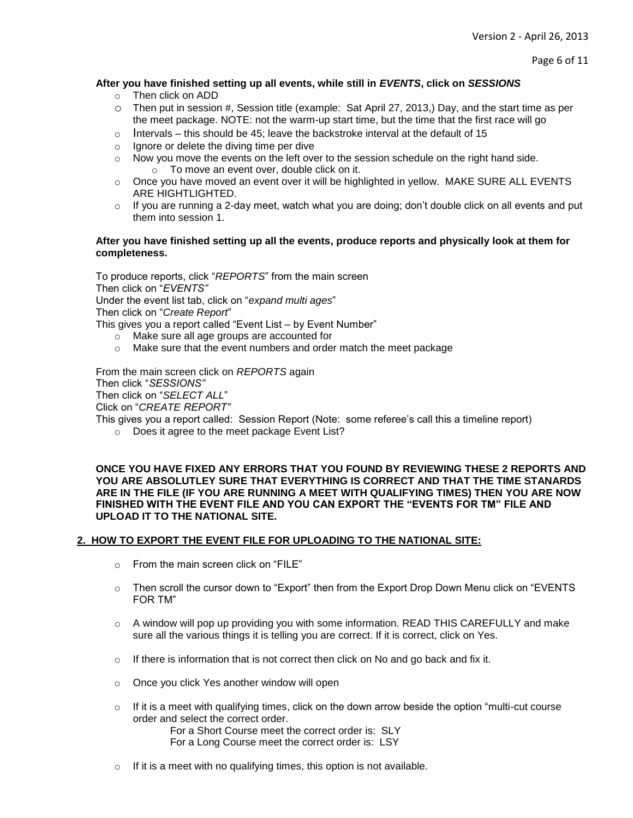Page 6 of 11

# **After you have finished setting up all events, while still in** *EVENTS***, click on** *SESSIONS*

- o Then click on ADD
- o Then put in session #, Session title (example: Sat April 27, 2013,) Day, and the start time as per the meet package. NOTE: not the warm-up start time, but the time that the first race will go
- $\circ$  Intervals this should be 45; leave the backstroke interval at the default of 15
- o Ignore or delete the diving time per dive
- o Now you move the events on the left over to the session schedule on the right hand side.  $\circ$  To move an event over, double click on it.
- o Once you have moved an event over it will be highlighted in yellow. MAKE SURE ALL EVENTS ARE HIGHTLIGHTED.
- $\circ$  If you are running a 2-day meet, watch what you are doing; don't double click on all events and put them into session 1.

## **After you have finished setting up all the events, produce reports and physically look at them for completeness.**

To produce reports, click "*REPORTS*" from the main screen Then click on "*EVENTS"* Under the event list tab, click on "*expand multi ages*" Then click on "*Create Report*" This gives you a report called "Event List – by Event Number"

- o Make sure all age groups are accounted for
- o Make sure that the event numbers and order match the meet package

From the main screen click on *REPORTS* again

Then click "*SESSIONS"*

Then click on "*SELECT ALL*"

Click on "*CREATE REPORT"*

This gives you a report called: Session Report (Note: some referee's call this a timeline report)

o Does it agree to the meet package Event List?

**ONCE YOU HAVE FIXED ANY ERRORS THAT YOU FOUND BY REVIEWING THESE 2 REPORTS AND YOU ARE ABSOLUTLEY SURE THAT EVERYTHING IS CORRECT AND THAT THE TIME STANARDS ARE IN THE FILE (IF YOU ARE RUNNING A MEET WITH QUALIFYING TIMES) THEN YOU ARE NOW FINISHED WITH THE EVENT FILE AND YOU CAN EXPORT THE "EVENTS FOR TM" FILE AND UPLOAD IT TO THE NATIONAL SITE.**

## **2. HOW TO EXPORT THE EVENT FILE FOR UPLOADING TO THE NATIONAL SITE:**

- o From the main screen click on "FILE"
- $\circ$  Then scroll the cursor down to "Export" then from the Export Drop Down Menu click on "EVENTS" FOR TM"
- $\circ$  A window will pop up providing you with some information. READ THIS CAREFULLY and make sure all the various things it is telling you are correct. If it is correct, click on Yes.
- $\circ$  If there is information that is not correct then click on No and go back and fix it.
- o Once you click Yes another window will open
- $\circ$  If it is a meet with qualifying times, click on the down arrow beside the option "multi-cut course" order and select the correct order.
	- For a Short Course meet the correct order is: SLY

For a Long Course meet the correct order is: LSY

o If it is a meet with no qualifying times, this option is not available.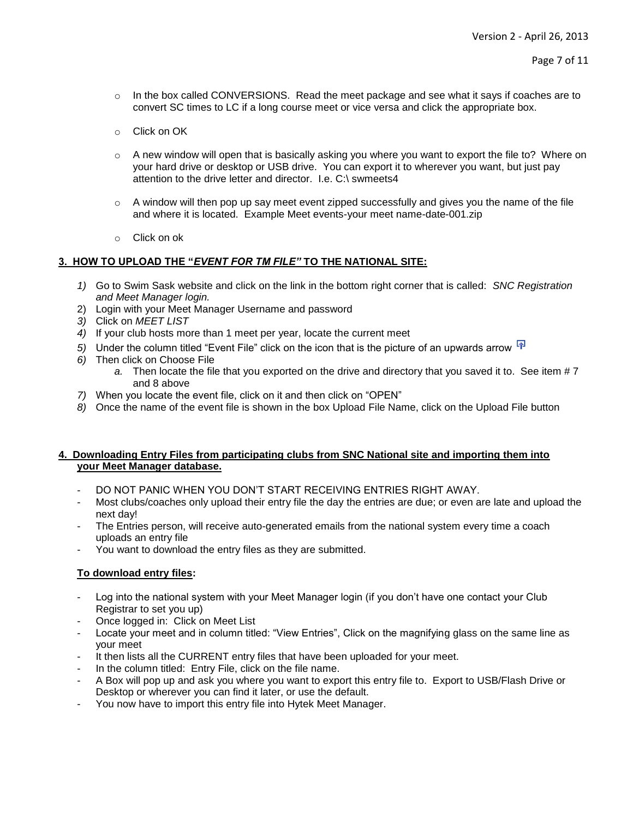- $\circ$  In the box called CONVERSIONS. Read the meet package and see what it says if coaches are to convert SC times to LC if a long course meet or vice versa and click the appropriate box.
- o Click on OK
- $\circ$  A new window will open that is basically asking you where you want to export the file to? Where on your hard drive or desktop or USB drive. You can export it to wherever you want, but just pay attention to the drive letter and director. I.e. C:\ swmeets4
- $\circ$  A window will then pop up say meet event zipped successfully and gives you the name of the file and where it is located. Example Meet events-your meet name-date-001.zip
- o Click on ok

## **3. HOW TO UPLOAD THE "***EVENT FOR TM FILE"* **TO THE NATIONAL SITE:**

- *1)* Go to Swim Sask website and click on the link in the bottom right corner that is called: *SNC Registration and Meet Manager login.*
- 2) Login with your Meet Manager Username and password
- *3)* Click on *MEET LIST*
- *4)* If your club hosts more than 1 meet per year, locate the current meet
- 5) Under the column titled "Event File" click on the icon that is the picture of an upwards arrow **F**
- *6)* Then click on Choose File
	- *a.* Then locate the file that you exported on the drive and directory that you saved it to. See item # 7 and 8 above
- *7)* When you locate the event file, click on it and then click on "OPEN"
- *8)* Once the name of the event file is shown in the box Upload File Name, click on the Upload File button

## **4. Downloading Entry Files from participating clubs from SNC National site and importing them into your Meet Manager database.**

- DO NOT PANIC WHEN YOU DON'T START RECEIVING ENTRIES RIGHT AWAY.
- Most clubs/coaches only upload their entry file the day the entries are due; or even are late and upload the next day!
- The Entries person, will receive auto-generated emails from the national system every time a coach uploads an entry file
- You want to download the entry files as they are submitted.

## **To download entry files:**

- Log into the national system with your Meet Manager login (if you don't have one contact your Club Registrar to set you up)
- Once logged in: Click on Meet List
- Locate your meet and in column titled: "View Entries", Click on the magnifying glass on the same line as your meet
- It then lists all the CURRENT entry files that have been uploaded for your meet.
- In the column titled: Entry File, click on the file name.
- A Box will pop up and ask you where you want to export this entry file to. Export to USB/Flash Drive or Desktop or wherever you can find it later, or use the default.
- You now have to import this entry file into Hytek Meet Manager.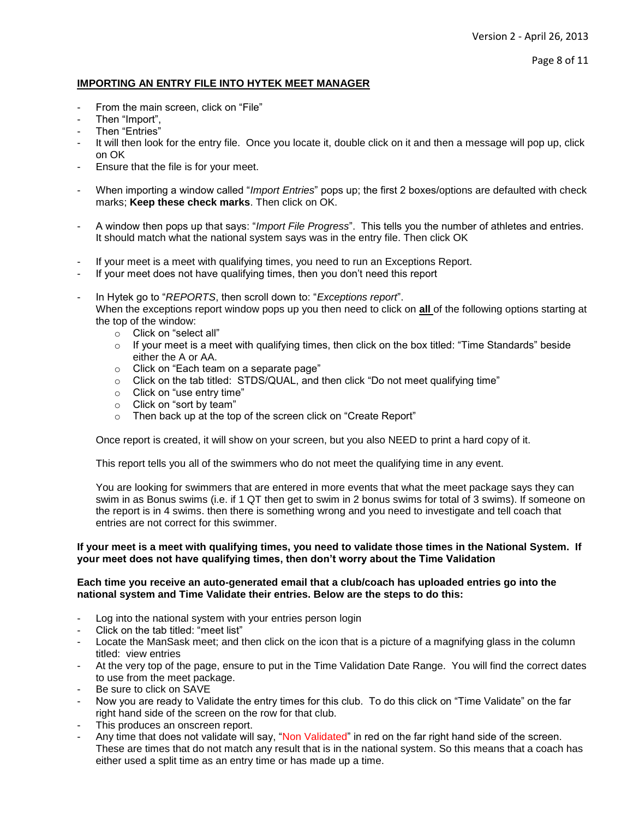# **IMPORTING AN ENTRY FILE INTO HYTEK MEET MANAGER**

- From the main screen, click on "File"
- Then "Import",
- Then "Entries"
- It will then look for the entry file. Once you locate it, double click on it and then a message will pop up, click on OK
- Ensure that the file is for your meet.
- When importing a window called "*Import Entries*" pops up; the first 2 boxes/options are defaulted with check marks; **Keep these check marks**. Then click on OK.
- A window then pops up that says: "*Import File Progress*". This tells you the number of athletes and entries. It should match what the national system says was in the entry file. Then click OK
- If your meet is a meet with qualifying times, you need to run an Exceptions Report.
- If your meet does not have qualifying times, then you don't need this report
- In Hytek go to "*REPORTS*, then scroll down to: "*Exceptions report*". When the exceptions report window pops up you then need to click on **all** of the following options starting at the top of the window:
	- o Click on "select all"
	- $\circ$  If your meet is a meet with qualifying times, then click on the box titled: "Time Standards" beside either the A or AA.
	- o Click on "Each team on a separate page"
	- o Click on the tab titled: STDS/QUAL, and then click "Do not meet qualifying time"
	- o Click on "use entry time"
	- o Click on "sort by team"
	- o Then back up at the top of the screen click on "Create Report"

Once report is created, it will show on your screen, but you also NEED to print a hard copy of it.

This report tells you all of the swimmers who do not meet the qualifying time in any event.

You are looking for swimmers that are entered in more events that what the meet package says they can swim in as Bonus swims (i.e. if 1 QT then get to swim in 2 bonus swims for total of 3 swims). If someone on the report is in 4 swims. then there is something wrong and you need to investigate and tell coach that entries are not correct for this swimmer.

## **If your meet is a meet with qualifying times, you need to validate those times in the National System. If your meet does not have qualifying times, then don't worry about the Time Validation**

## **Each time you receive an auto-generated email that a club/coach has uploaded entries go into the national system and Time Validate their entries. Below are the steps to do this:**

- Log into the national system with your entries person login
- Click on the tab titled: "meet list"
- Locate the ManSask meet; and then click on the icon that is a picture of a magnifying glass in the column titled: view entries
- At the very top of the page, ensure to put in the Time Validation Date Range. You will find the correct dates to use from the meet package.
- Be sure to click on SAVE
- Now you are ready to Validate the entry times for this club. To do this click on "Time Validate" on the far right hand side of the screen on the row for that club.
- This produces an onscreen report.
- Any time that does not validate will say, "Non Validated" in red on the far right hand side of the screen. These are times that do not match any result that is in the national system. So this means that a coach has either used a split time as an entry time or has made up a time.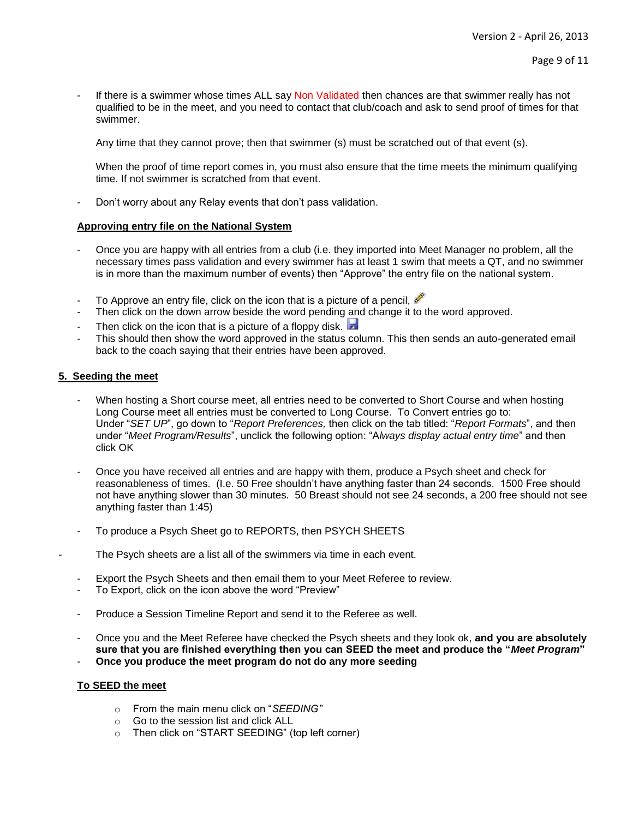If there is a swimmer whose times ALL say Non Validated then chances are that swimmer really has not qualified to be in the meet, and you need to contact that club/coach and ask to send proof of times for that swimmer.

Any time that they cannot prove; then that swimmer (s) must be scratched out of that event (s).

When the proof of time report comes in, you must also ensure that the time meets the minimum qualifying time. If not swimmer is scratched from that event.

- Don't worry about any Relay events that don't pass validation.

## **Approving entry file on the National System**

- Once you are happy with all entries from a club (i.e. they imported into Meet Manager no problem, all the necessary times pass validation and every swimmer has at least 1 swim that meets a QT, and no swimmer is in more than the maximum number of events) then "Approve" the entry file on the national system.
- To Approve an entry file, click on the icon that is a picture of a pencil,  $\mathscr I$
- Then click on the down arrow beside the word pending and change it to the word approved.
- Then click on the icon that is a picture of a floppy disk.
- This should then show the word approved in the status column. This then sends an auto-generated email back to the coach saying that their entries have been approved.

## **5. Seeding the meet**

- When hosting a Short course meet, all entries need to be converted to Short Course and when hosting Long Course meet all entries must be converted to Long Course. To Convert entries go to: Under "*SET UP*", go down to "*Report Preferences,* then click on the tab titled: "*Report Formats*", and then under "*Meet Program/Results*", unclick the following option: "A*lways display actual entry time*" and then click OK
- Once you have received all entries and are happy with them, produce a Psych sheet and check for reasonableness of times. (I.e. 50 Free shouldn't have anything faster than 24 seconds. 1500 Free should not have anything slower than 30 minutes. 50 Breast should not see 24 seconds, a 200 free should not see anything faster than 1:45)
- To produce a Psych Sheet go to REPORTS, then PSYCH SHEETS
- The Psych sheets are a list all of the swimmers via time in each event.
	- Export the Psych Sheets and then email them to your Meet Referee to review.
	- To Export, click on the icon above the word "Preview"
	- Produce a Session Timeline Report and send it to the Referee as well.
	- Once you and the Meet Referee have checked the Psych sheets and they look ok, **and you are absolutely sure that you are finished everything then you can SEED the meet and produce the "***Meet Program***"**
	- **Once you produce the meet program do not do any more seeding**

## **To SEED the meet**

- o From the main menu click on "*SEEDING"*
- o Go to the session list and click ALL
- o Then click on "START SEEDING" (top left corner)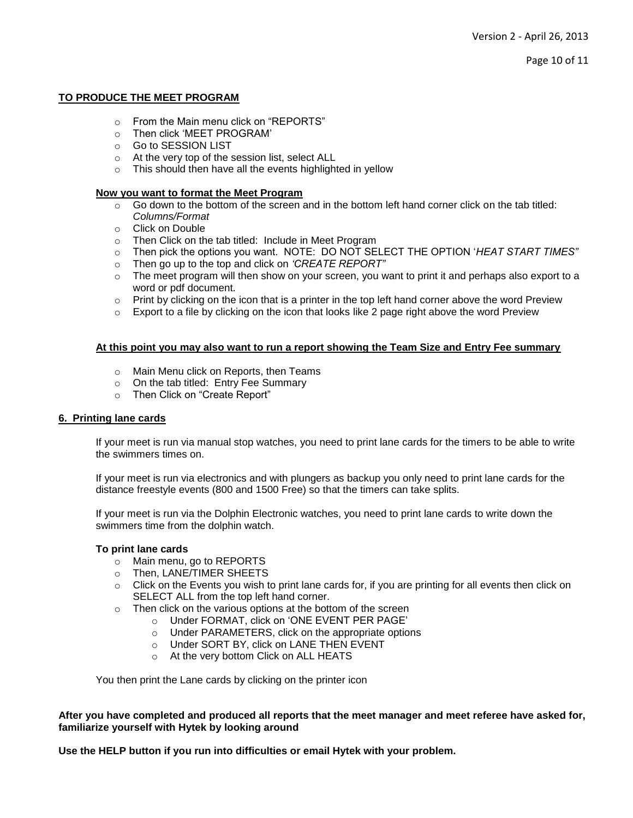Page 10 of 11

## **TO PRODUCE THE MEET PROGRAM**

- o From the Main menu click on "REPORTS"
- o Then click 'MEET PROGRAM'
- o Go to SESSION LIST
- o At the very top of the session list, select ALL
- $\circ$  This should then have all the events highlighted in yellow

## **Now you want to format the Meet Program**

- $\circ$  Go down to the bottom of the screen and in the bottom left hand corner click on the tab titled: *Columns/Format*
- o Click on Double
- o Then Click on the tab titled: Include in Meet Program
- o Then pick the options you want. NOTE: DO NOT SELECT THE OPTION '*HEAT START TIMES"*
- o Then go up to the top and click on *'CREATE REPORT"*
- $\circ$  The meet program will then show on your screen, you want to print it and perhaps also export to a word or pdf document.
- $\circ$  Print by clicking on the icon that is a printer in the top left hand corner above the word Preview
- $\circ$  Export to a file by clicking on the icon that looks like 2 page right above the word Preview

## **At this point you may also want to run a report showing the Team Size and Entry Fee summary**

- o Main Menu click on Reports, then Teams
- o On the tab titled: Entry Fee Summary
- o Then Click on "Create Report"

## **6. Printing lane cards**

If your meet is run via manual stop watches, you need to print lane cards for the timers to be able to write the swimmers times on.

If your meet is run via electronics and with plungers as backup you only need to print lane cards for the distance freestyle events (800 and 1500 Free) so that the timers can take splits.

If your meet is run via the Dolphin Electronic watches, you need to print lane cards to write down the swimmers time from the dolphin watch.

## **To print lane cards**

- o Main menu, go to REPORTS
- o Then, LANE/TIMER SHEETS
- o Click on the Events you wish to print lane cards for, if you are printing for all events then click on SELECT ALL from the top left hand corner.
- o Then click on the various options at the bottom of the screen
	- o Under FORMAT, click on 'ONE EVENT PER PAGE'
	- o Under PARAMETERS, click on the appropriate options
	- o Under SORT BY, click on LANE THEN EVENT
	- o At the very bottom Click on ALL HEATS

You then print the Lane cards by clicking on the printer icon

**After you have completed and produced all reports that the meet manager and meet referee have asked for, familiarize yourself with Hytek by looking around** 

**Use the HELP button if you run into difficulties or email Hytek with your problem.**